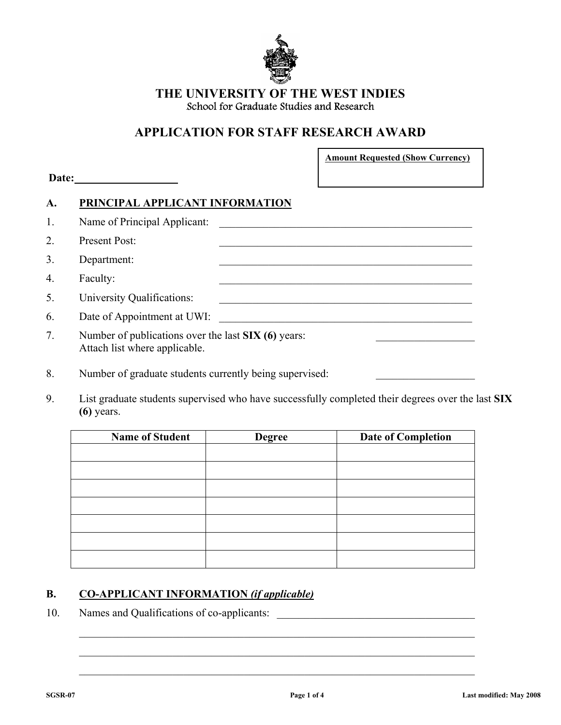

### **THE UNIVERSITY OF THE WEST INDIES**  School for Graduate Studies and Research

# **APPLICATION FOR STAFF RESEARCH AWARD**

| <b>Amount Requested (Show Currency)</b> |  |
|-----------------------------------------|--|
|-----------------------------------------|--|

| Name of Principal Applicant:                                                         |  |
|--------------------------------------------------------------------------------------|--|
| Present Post:                                                                        |  |
| Department:                                                                          |  |
| Faculty:                                                                             |  |
| University Qualifications:                                                           |  |
| Date of Appointment at UWI:                                                          |  |
| Number of publications over the last SIX (6) years:<br>Attach list where applicable. |  |

8. Number of graduate students currently being supervised:

**Date: \_\_\_\_\_\_\_\_\_\_\_\_\_\_\_\_\_\_** 

9. List graduate students supervised who have successfully completed their degrees over the last **SIX (6)** years.

| <b>Name of Student</b> | <b>Degree</b> | <b>Date of Completion</b> |
|------------------------|---------------|---------------------------|
|                        |               |                           |
|                        |               |                           |
|                        |               |                           |
|                        |               |                           |
|                        |               |                           |
|                        |               |                           |
|                        |               |                           |
|                        |               |                           |

 $\mathcal{L}_\text{max} = \frac{1}{2} \sum_{i=1}^n \mathcal{L}_\text{max}(\mathbf{z}_i - \mathbf{z}_i)$ 

 $\mathcal{L}_\text{max} = \frac{1}{2} \sum_{i=1}^{n} \frac{1}{2} \sum_{i=1}^{n} \frac{1}{2} \sum_{i=1}^{n} \frac{1}{2} \sum_{i=1}^{n} \frac{1}{2} \sum_{i=1}^{n} \frac{1}{2} \sum_{i=1}^{n} \frac{1}{2} \sum_{i=1}^{n} \frac{1}{2} \sum_{i=1}^{n} \frac{1}{2} \sum_{i=1}^{n} \frac{1}{2} \sum_{i=1}^{n} \frac{1}{2} \sum_{i=1}^{n} \frac{1}{2} \sum_{i=1}^{n} \frac{1$ 

 $\mathcal{L}_\text{max} = \frac{1}{2} \sum_{i=1}^{n} \frac{1}{2} \sum_{i=1}^{n} \frac{1}{2} \sum_{i=1}^{n} \frac{1}{2} \sum_{i=1}^{n} \frac{1}{2} \sum_{i=1}^{n} \frac{1}{2} \sum_{i=1}^{n} \frac{1}{2} \sum_{i=1}^{n} \frac{1}{2} \sum_{i=1}^{n} \frac{1}{2} \sum_{i=1}^{n} \frac{1}{2} \sum_{i=1}^{n} \frac{1}{2} \sum_{i=1}^{n} \frac{1}{2} \sum_{i=1}^{n} \frac{1$ 

### **B. CO-APPLICANT INFORMATION** *(if applicable)*

10. Names and Qualifications of co-applicants: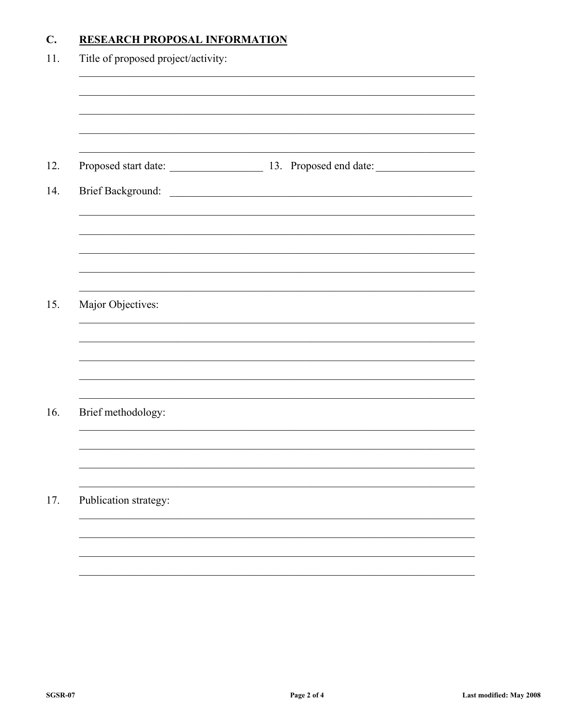#### **RESEARCH PROPOSAL INFORMATION**  $\mathbf{C}$ .

| Title of proposed project/activity: |                                             |
|-------------------------------------|---------------------------------------------|
|                                     |                                             |
|                                     | Proposed start date: 13. Proposed end date: |
|                                     |                                             |
|                                     |                                             |
|                                     |                                             |
| Major Objectives:                   |                                             |
|                                     |                                             |
|                                     |                                             |
| Brief methodology:                  |                                             |
|                                     |                                             |
| Publication strategy:               |                                             |
|                                     |                                             |
|                                     |                                             |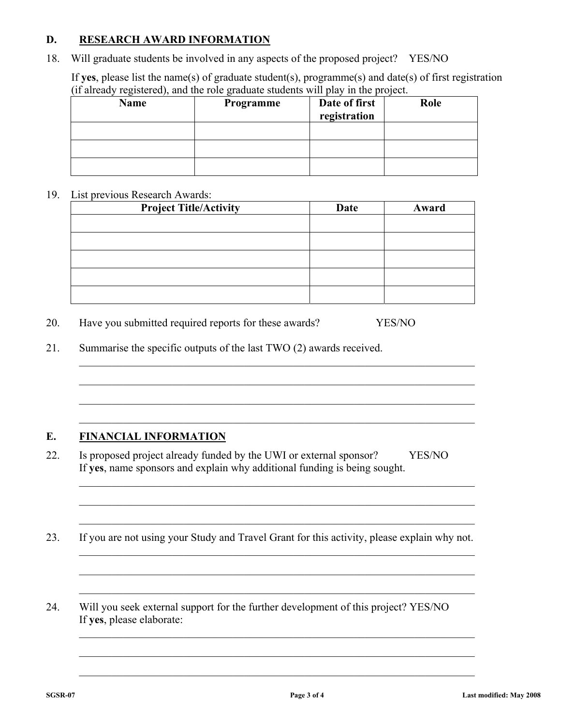### **D. RESEARCH AWARD INFORMATION**

18. Will graduate students be involved in any aspects of the proposed project? YES/NO

If **yes**, please list the name(s) of graduate student(s), programme(s) and date(s) of first registration (if already registered), and the role graduate students will play in the project.

| <b>Name</b> | Programme | Date of first<br>registration | Role |
|-------------|-----------|-------------------------------|------|
|             |           |                               |      |
|             |           |                               |      |
|             |           |                               |      |

#### 19. List previous Research Awards:

| <b>Project Title/Activity</b> | Date | Award |
|-------------------------------|------|-------|
|                               |      |       |
|                               |      |       |
|                               |      |       |
|                               |      |       |
|                               |      |       |
|                               |      |       |

- 20. Have you submitted required reports for these awards? YES/NO
- 21. Summarise the specific outputs of the last TWO (2) awards received.

## **E. FINANCIAL INFORMATION**

22. Is proposed project already funded by the UWI or external sponsor? YES/NO If **yes**, name sponsors and explain why additional funding is being sought.

 $\mathcal{L}_\text{max} = \frac{1}{2} \sum_{i=1}^{n} \frac{1}{2} \sum_{i=1}^{n} \frac{1}{2} \sum_{i=1}^{n} \frac{1}{2} \sum_{i=1}^{n} \frac{1}{2} \sum_{i=1}^{n} \frac{1}{2} \sum_{i=1}^{n} \frac{1}{2} \sum_{i=1}^{n} \frac{1}{2} \sum_{i=1}^{n} \frac{1}{2} \sum_{i=1}^{n} \frac{1}{2} \sum_{i=1}^{n} \frac{1}{2} \sum_{i=1}^{n} \frac{1}{2} \sum_{i=1}^{n} \frac{1$ 

 $\mathcal{L}_\text{max} = \frac{1}{2} \sum_{i=1}^{n} \frac{1}{2} \sum_{i=1}^{n} \frac{1}{2} \sum_{i=1}^{n} \frac{1}{2} \sum_{i=1}^{n} \frac{1}{2} \sum_{i=1}^{n} \frac{1}{2} \sum_{i=1}^{n} \frac{1}{2} \sum_{i=1}^{n} \frac{1}{2} \sum_{i=1}^{n} \frac{1}{2} \sum_{i=1}^{n} \frac{1}{2} \sum_{i=1}^{n} \frac{1}{2} \sum_{i=1}^{n} \frac{1}{2} \sum_{i=1}^{n} \frac{1$ 

 $\mathcal{L}_\text{max} = \frac{1}{2} \sum_{i=1}^n \mathcal{L}_\text{max}(\mathbf{z}_i - \mathbf{z}_i)$ 

 $\mathcal{L}_\text{max} = \frac{1}{2} \sum_{i=1}^{n} \frac{1}{2} \sum_{i=1}^{n} \frac{1}{2} \sum_{i=1}^{n} \frac{1}{2} \sum_{i=1}^{n} \frac{1}{2} \sum_{i=1}^{n} \frac{1}{2} \sum_{i=1}^{n} \frac{1}{2} \sum_{i=1}^{n} \frac{1}{2} \sum_{i=1}^{n} \frac{1}{2} \sum_{i=1}^{n} \frac{1}{2} \sum_{i=1}^{n} \frac{1}{2} \sum_{i=1}^{n} \frac{1}{2} \sum_{i=1}^{n} \frac{1$ 

 $\mathcal{L}_\text{max} = \frac{1}{2} \sum_{i=1}^{n} \frac{1}{2} \sum_{i=1}^{n} \frac{1}{2} \sum_{i=1}^{n} \frac{1}{2} \sum_{i=1}^{n} \frac{1}{2} \sum_{i=1}^{n} \frac{1}{2} \sum_{i=1}^{n} \frac{1}{2} \sum_{i=1}^{n} \frac{1}{2} \sum_{i=1}^{n} \frac{1}{2} \sum_{i=1}^{n} \frac{1}{2} \sum_{i=1}^{n} \frac{1}{2} \sum_{i=1}^{n} \frac{1}{2} \sum_{i=1}^{n} \frac{1$ 

 $\mathcal{L}_\text{max} = \frac{1}{2} \sum_{i=1}^{n} \frac{1}{2} \sum_{i=1}^{n} \frac{1}{2} \sum_{i=1}^{n} \frac{1}{2} \sum_{i=1}^{n} \frac{1}{2} \sum_{i=1}^{n} \frac{1}{2} \sum_{i=1}^{n} \frac{1}{2} \sum_{i=1}^{n} \frac{1}{2} \sum_{i=1}^{n} \frac{1}{2} \sum_{i=1}^{n} \frac{1}{2} \sum_{i=1}^{n} \frac{1}{2} \sum_{i=1}^{n} \frac{1}{2} \sum_{i=1}^{n} \frac{1$ 

 $\mathcal{L}_\text{max} = \frac{1}{2} \sum_{i=1}^{n} \frac{1}{2} \sum_{i=1}^{n} \frac{1}{2} \sum_{i=1}^{n} \frac{1}{2} \sum_{i=1}^{n} \frac{1}{2} \sum_{i=1}^{n} \frac{1}{2} \sum_{i=1}^{n} \frac{1}{2} \sum_{i=1}^{n} \frac{1}{2} \sum_{i=1}^{n} \frac{1}{2} \sum_{i=1}^{n} \frac{1}{2} \sum_{i=1}^{n} \frac{1}{2} \sum_{i=1}^{n} \frac{1}{2} \sum_{i=1}^{n} \frac{1$ 

23. If you are not using your Study and Travel Grant for this activity, please explain why not.  $\mathcal{L}_\text{max} = \frac{1}{2} \sum_{i=1}^{n} \frac{1}{2} \sum_{i=1}^{n} \frac{1}{2} \sum_{i=1}^{n} \frac{1}{2} \sum_{i=1}^{n} \frac{1}{2} \sum_{i=1}^{n} \frac{1}{2} \sum_{i=1}^{n} \frac{1}{2} \sum_{i=1}^{n} \frac{1}{2} \sum_{i=1}^{n} \frac{1}{2} \sum_{i=1}^{n} \frac{1}{2} \sum_{i=1}^{n} \frac{1}{2} \sum_{i=1}^{n} \frac{1}{2} \sum_{i=1}^{n} \frac{1$ 

 $\mathcal{L}_\text{max} = \frac{1}{2} \sum_{i=1}^{n} \frac{1}{2} \sum_{i=1}^{n} \frac{1}{2} \sum_{i=1}^{n} \frac{1}{2} \sum_{i=1}^{n} \frac{1}{2} \sum_{i=1}^{n} \frac{1}{2} \sum_{i=1}^{n} \frac{1}{2} \sum_{i=1}^{n} \frac{1}{2} \sum_{i=1}^{n} \frac{1}{2} \sum_{i=1}^{n} \frac{1}{2} \sum_{i=1}^{n} \frac{1}{2} \sum_{i=1}^{n} \frac{1}{2} \sum_{i=1}^{n} \frac{1$ 

 $\mathcal{L}_\text{max} = \frac{1}{2} \sum_{i=1}^n \mathcal{L}_\text{max}(\mathbf{z}_i - \mathbf{z}_i)$ 

 $\mathcal{L}_\text{max} = \frac{1}{2} \sum_{i=1}^{n} \frac{1}{2} \sum_{i=1}^{n} \frac{1}{2} \sum_{i=1}^{n} \frac{1}{2} \sum_{i=1}^{n} \frac{1}{2} \sum_{i=1}^{n} \frac{1}{2} \sum_{i=1}^{n} \frac{1}{2} \sum_{i=1}^{n} \frac{1}{2} \sum_{i=1}^{n} \frac{1}{2} \sum_{i=1}^{n} \frac{1}{2} \sum_{i=1}^{n} \frac{1}{2} \sum_{i=1}^{n} \frac{1}{2} \sum_{i=1}^{n} \frac{1$ 

 $\mathcal{L}_\text{max} = \frac{1}{2} \sum_{i=1}^n \mathcal{L}_\text{max}(\mathbf{z}_i - \mathbf{z}_i)$ 

 $\mathcal{L}_\text{max} = \frac{1}{2} \sum_{i=1}^{n} \frac{1}{2} \sum_{i=1}^{n} \frac{1}{2} \sum_{i=1}^{n} \frac{1}{2} \sum_{i=1}^{n} \frac{1}{2} \sum_{i=1}^{n} \frac{1}{2} \sum_{i=1}^{n} \frac{1}{2} \sum_{i=1}^{n} \frac{1}{2} \sum_{i=1}^{n} \frac{1}{2} \sum_{i=1}^{n} \frac{1}{2} \sum_{i=1}^{n} \frac{1}{2} \sum_{i=1}^{n} \frac{1}{2} \sum_{i=1}^{n} \frac{1$ 

24. Will you seek external support for the further development of this project? YES/NO If **yes**, please elaborate: